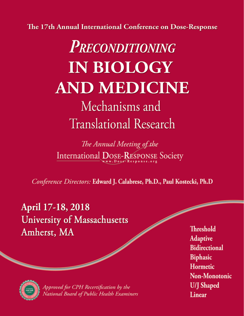The 17th Annual International Conference on Dose-Response

# **PRECONDITIONING IN BIOLOGY AND MEDICINE** Mechanisms and **Translational Research**

The Annual Meeting of the International DOSE-RESPONSE Society

Conference Directors: Edward J. Calabrese, Ph.D., Paul Kostecki, Ph.D

April 17-18, 2018 University of Massachusetts Amherst, MA

**Threshold Adaptive Bidirectional Biphasic Hormetic Non-Monotonic U/J** Shaped Linear



pproved for CPH Recertification by the<br>Iational Board of Public Health Examiners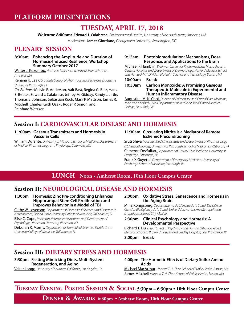### **PLATFORM PRESENTATIONS**

### **TUESDAY, APRIL 17, 2018**

**Welcome 8:00am: Edward J. Calabrese,** *Environmental Health, University of Massachusetts, Amherst, MA*

Moderator: **James Giordano,** *Georgetown University, Washington, DC*

### **PLENARY SESSION**

#### **8:30am Enhancing the Amplitude and Duration of Hormesis-Induced Resilience; Workshop Summary October 2017**

Walter J. Kozumbo, *Hormesis Project, University of Massachusetts, Amherst, MA*

Rehana K. Leak*, Graduate School of Pharmaceutical Sciences, Duquesne University, Pittsburgh, PA*

*Co-Authors:* Melvin E. Anderson, Aalt Bast, Regina G. Belz, Hans E. Bøtker, Edward J. Calabrese, Jeffrey M. Gidday, Randy J. Jirtle, Thomas E. Johnson, Sebastian Koch, Mark P. Mattson, James R. Mitchell, Charles Keith Ozaki, Roger P. Simon, and. Reinhard Wetzker.

#### **9:15am Photobiomodulation: Mechanisms, Dose Response, and Applications to the Brain**

Michael R Hamblin, *Wellman Center for Photomedicine, Massachusetts General Hospital, and Department of Dermatology, Harvard Medical School, and Harvard-MIT Division of Health Science and Technology, Boston, MA*

#### **10:00am Break**

**10:30am Carbon Monoxide: A Promising Gaseous Therapeutic Molecule in Experimental and Human Inflammatory Disease**

Augustine M. K. Choi, *Division of Pulmonary and Critical Care Medicine, Joan and Sanford I. Weill Department of Medicine, Weill Cornell Medical College, New York, NY*

### **Session I: CARDIOVASCULAR DISEASE AND HORMESIS**

#### **11:00am Gaseous Transmitters and Hormesis in Vascular Cells**

William Durante, *University of Missouri, School of Medicine, Department of Medical Pharmacology and Physiology, Columbia, MO*

#### **11:30am Circulating Nitrite is a Mediator of Remote Ischemic Preconditioning**

Sruti Shiva, *Vascular Medicine Institute and Department of Pharmacology & Chemical Biology, University of Pittsburgh School of Medicine, Pittsburgh, PA* Cameron Dezfulian, *Department of Critical Care Medicine, University of Pittsburgh, Pittsburgh, PA* 

Frank X Guyette, *Department of Emergency Medicine, University of Pittsburgh School of Medicine, Pittsburgh, PA* 

### LUNCH Noon • Amherst Room, 10th Floor Campus Center

### **Session II: NEUROLOGICAL DISEASE AND HORMESIS**

#### **1:30pm Hormesis: Zinc Pre-conditioning Enhances Hippocampal Stem Cell Proliferation and Improves Behavior in a Model of TBI**

Cathy W. Levenson*, Department of Biomedical Sciences and Program in Neuroscience, Florida State University College of Medicine, Tallahassee, FL* Elise C. Cope, *Princeton Neuroscience Institute and Department of* 

*Psychology, , Princeton University, Princeton, NJ* 

Deborah R. Morris, *Department of Biomedical Sciences, Florida State University College of Medicine, Tallahassee, FL*

#### **2:00pm Oxidative Stress, Senescence and Hormesis in the Aging Brain**

Mina Königsberg*, Departamento de Ciencias de la Salud, División de Ciencias Biológicas y de la Salud, Universidad Autónoma Metropolitana-Iztapalapa, Mexico City, Mexico.*

#### **2:30pm Clinical Psychology and Hormesis: A Developmental Perspective**

Richard T. Liu*, Department of Psychiatry and Human Behavior, Alpert Medical School of Brown University and Bradley Hospital, East Providence, RI*

**3:00pm Break**

### **Session III: DIETARY STRESS AND HORMESIS**

**3:30pm Fasting Mimicking Diets, Multi-System Regeneration, and Aging** 

**4:00pm The Hormetic Effects of Dietary Sulfur Amino Acids**

Valter Longo*, University of Southern California, Los Angeles, CA*

Michael MacArthur*, Harvard T. H. Chan School of Public Health, Boston, MA* James Mitchell*, Harvard T. H. Chan School of Public Health, Boston, MA*

### **Tuesday Evening Poster Session & Social 5:30pm – 6:30pm • 10th Floor Campus Center**

**Dinner & Awards 6:30pm • Amherst Room, 10th Floor Campus Center**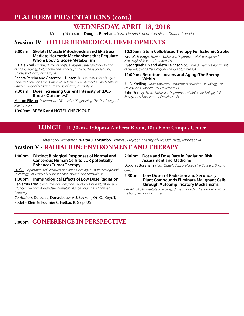### **PLATFORM PRESENTATIONS (cont.)**

### **Wednesday, APRIL 18, 2018**

Morning Moderator: **Douglas Boreham,** *North Ontario School of Medicine, Ontario, Canada*

### **Session IV - OTHER BIOMEDICAL DEVELOPMENTS**

#### **9:00am Skeletal Muscle Mitochondria and ER Stress Mediate Hormetic Mechanisms that Regulate Whole Body Glucose Metabolism**

E. Dale Abel*, Fraternal Order of Eagles Diabetes Center and the Division of Endocrinology, Metabolism and Diabetes, Carver College of Medicine, University of Iowa, Iowa City, IA*

Renata Pereira and Antentor J. Hinton Jr, *Fraternal Order of Eagles Diabetes Center and the Division of Endocrinology, Metabolism and Diabetes, Carver College of Medicine, University of Iowa, Iowa City, IA*

#### **9:30am Does Increasing Current Intensity of tDCS Boosts Outcomes?**

Marom Bikson*, Department of Biomedical Engineering, The City College of New York, NY*

#### **10:00am BREAK and HOTEL CHECK OUT**

#### **10:30am Stem Cells-Based Therapy For Ischemic Stroke**

Paul M. George*, Stanford University, Department of Neurology and Neurological Sciences, Stanford, CA*

Byeongtaek Oh and Alexa Levinson, *Stanford University, Department of Neurology and Neurological Sciences, Stanford, CA*

#### **11:00am Retrotransposons and Aging: The Enemy Within**

Jill A. Kreiling*, Brown University, Department of Molecular Biology, Cell Biology, and Biochemistry, Providence, RI*

John Sedivy*, Brown University, Department of Molecular Biology, Cell Biology, and Biochemistry, Providence, RI*

### **Lunch** 11:30am - 1:00pm • Amherst Room, 10th Floor Campus Center

Afternoon Moderator: **Walter J. Kozumbo,** *Hormesis Project, University of Massachusetts, Amherst, MA*

### **Session V - Radiation: Environment and Therapy**

#### **1:00pm Distinct Biological Responses of Normal and Cancerous Human Cells to LDR potentially Enhances Tumor Therapy**

Lu Cai*, Departments of Pediatrics, Radiation Oncology & Pharmacology and Toxicology, University of Louisville School of Medicine, Louisville, KY*

**1:30pm Immunological Effects of Low Dose Radiation** Benjamin Frey*, Department of Radiation Oncology, Universitätsklinikum Erlangen, Friedrich-Alexander-Universität Erlangen-Nürnberg, Erlangen, Germany*

*Co-Authors:* Deloch L, Donaubauer A-J, Becker I, Ott OJ, Gryc T, Rödel F, Klein G, Fournier C, Fietkau R, Gaipl US

#### **2:00pm Dose and Dose Rate in Radiation Risk Assessment and Medicine**

Douglas Boreham*, North Ontario School of Medicine, Sudbury, Ontario, Canada*

**2:30pm Low Doses of Radiation and Secondary Plant Compounds Eliminate Malignant Cells through Autoamplificatory Mechanisms** 

Georg Bauer*, Institute of Virology, University Medical Centre, University of Freiburg, Freiburg, Germany*

### **3:00pm CONFERENCE IN PERSPECTIVE**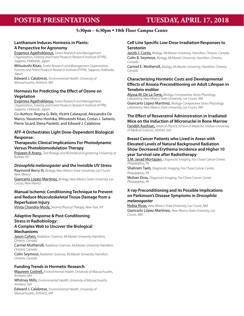### **POSTER PRESENTATIONS TUESDAY, APRIL 17, 2018**

#### **5:30pm – 6:30pm • 10th Floor Campus Center**

#### **Lanthanum Induces Hormesis in Plants: A Perspective for Agronomy**

Evgenios Agathokleous, *Forest Research and Management Organization, Forestry and Forest Products Research Institute (FFPRI), Sapporo, Hokkaido, Japan*

Mitsutoshi Kitao, *Forest Research and Management Organization, Forestry and Forest Products Research Institute (FFPRI), Sapporo, Hokkaido, Japan*

Edward J. Calabrese, *Environmental Health, University of Massachusetts, Amherst, MA*

#### **Hormesis for Predicting the Effect of Ozone on Vegetation**

Evgenios Agathokleous, *Forest Research and Management Organization, Forestry and Forest Products Research Institute (FFPRI), Sapporo, Hokkaido, Japan*

*Co-Authors:* Regina G. Belz, Vicent Calatayud, Alessandra De Marco, Yasutomo Hoshika, Mitsutoshi Kitao, Costas J. Saitanis, Pierre Sicard, Elena Paoletti, and Edward J. Calabrese

#### **ATF-4 Orchestrates Light Dose-Dependent Biological Response:**

#### **Therapeutic Clinical Implications For Photodynamic Versus Photobiomodulation Therapy**

Praveen R Arany, *Oral Biology and Biomedical Engineering, University at Buffalo, NY*

#### *Drosophila melanogaster* **and the Invisible UV Stress**

Raymond Berry III, *Biology, New Mexico State University, Las Cruces, New Mexico*

Giancarlo López-Martínez, *Biology, New Mexico State University, Las Cruces, New Mexico*

#### **Manual Ischemic Conditioning Technique to Prevent and Reduce Musculoskeletal Tissue Damage from a Reperfusion Injury**

Vinita Chandra-Mody, *Stroma Physical Therapy, New York, NY*

#### **Adaptive Response & Post-Conditioning Stress in Radiobiology:**

#### **A Complex Web to Uncover the Biological Mechanisms**

Jason Cohen, *Radiation Sciences, McMaster University Hamilton, Ontario, Canada*

Carmel Mothersill, *Radiation Sciences, McMaster University Hamilton, Ontario, Canada*

Colin Seymour, *Radiation Sciences, McMaster University Hamilton, Ontario, Canada*

#### **Funding Trends in Hormetic Research**

Maureen Cottrell, *Environmental Health, University of Massachusetts, Amherst, MA* 

Whitney Mills, *Environmental Health, University of Massachusetts, Amherst, MA*

Edward J. Calabrese, *Environmental Health, University of Massachusetts, Amherst, MA*

#### **Cell Line Specific Low-Dose Irradiation Responses to Serotonin**

Jacob J. Curtis, *Biology, McMaster University, Hamilton, Ontario, Canada* Colin B. Seymour, *Biology, McMaster University, Hamilton, Ontario, Canada*

Carmel E. Mothersill, *Biology, McMaster University, Hamilton, Ontario, Canada*

#### **Characterizing Hormetic Costs and Developmental Effects of Anoxia Preconditioning on Adult Lifespan in Tenebrio molitor**

Alyssa M. De La Torre, *Biology-Comparative Stress Physiology Laboratory, New Mexico State University, Las Cruces, NM* 

Giancarlo López-Martínez, *Biology-Comparative Stress Physiology Laboratory, New Mexico State University, Las Cruces, NM* 

#### **The Effect of Resveratrol Administration in Irradiated Mice on the Induction of Micronuclei in Bone Marrow**

Farideh Koohian, *Medical Physics, School of Medicine, Isfahan University of Medical Sciences, Isfahan, Iran*

#### **Breast Cancer Patients who Lived in Areas with Elevated Levels of Natural Background Radiation Show Decreased Erythema Incidence and Higher 10 year Survival rate after Radiotherapy**

S.M. Javad Mortazavi, *Diagnostic Imaging, Fox Chase Cancer Center, Philadelphia, PA* 

Shahram Taeb, *Diagnostic Imaging, Fox Chase Cancer Center, Philadelphia, PA*

Mohan Doss, *Diagnostic Imaging, Fox Chase Cancer Center, Philadelphia, PA*

#### **X-ray Preconditioning and its Possible Implications on Parkinson's Disease Symptoms in** *Drosophila melanogaster*

Nubia Rivas, *New Mexico State University, Las Cruces, NM* Giancarlo López-Martínez, *New Mexico State University, Las Cruces, NM*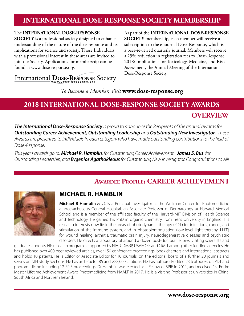### **INTERNATIONAL DOSE-RESPONSE SOCIETY MEMBERSHIP**

#### The **INTERNATIONAL DOSE-RESPONSE**

**SOCIETY** is a professional society designed to enhance understanding of the nature of the dose response and its implications for science and society. Those Individuals with a professional interest in these areas are invited to join the Society. Applications for membership can be found at www.dose-response.org.

International **Dose-Response** Society **www.Dose-Response.org**

As part of the **INTERNATIONAL DOSE-RESPONSE SOCIETY** membership, each member will receive a subscription to the e-journal Dose-Response, which is a peer-reviewed quarterly journal. Members will receive a 25% reduction in registration fees to Dose-Response 2018: Implications for Toxicology, Medicine, and Risk Assessment, the Annual Meeting of the International Dose-Response Society.

*To Become a Member, Visit* **www.dose-response.org**

### **OVERVIEW 2018 INTERNATIONAL DOSE-RESPONSE SOCIETY AWARDS**

*The International Dose-Response Society is proud to announce the Recipients of the annual awards for Outstanding Career Achievement, Outstanding Leadership and Outstanding New Investigator. These Awards are presented to individuals in each category who have made outstanding contributions to the field of Dose-Response.*

*This year's awards go to: Michael R. Hamblin, for Outstanding Career Achievement. James S. Bus for Outstanding Leadership, and Evgenios Agathokleous for Outstanding New Investigator. Congratulations to All!*

### **Awardee Profile: CAREER ACHIEVEMENT**



### **MICHAEL R. HAMBLIN**

**Michael R Hamblin** *Ph.D*. is a Principal Investigator at the Wellman Center for Photomedicine at Massachusetts General Hospital, an Associate Professor of Dermatology at Harvard Medical School and is a member of the affiliated faculty of the Harvard-MIT Division of Health Science and Technology. He gained his PhD in organic chemistry from Trent University in England. His research interests now lie in the areas of photodynamic therapy (PDT) for infections, cancer, and stimulation of the immune system, and in photobiomodulation (low-level light therapy, LLLT) for wound healing, arthritis, traumatic brain injury, neurodegenerative diseases and psychiatric disorders. He directs a laboratory of around a dozen post-doctoral fellows, visiting scientists and

graduate students. His research program is supported by NIH, CDMRP, USAFOSR and CIMIT among other funding agencies. He has published over 400 peer-reviewed articles, over 150 conference proceedings, book chapters and International abstracts and holds 10 patents. He is Editor or Associate Editor for 10 journals, on the editorial board of a further 20 journals and serves on NIH Study Sections. He has an h-factor 85 and >28,000 citations. He has authored/edited 23 textbooks on PDT and photomedicine including 12 SPIE proceedings. Dr Hamblin was elected as a Fellow of SPIE in 2011, and received 1st Endre Mester Lifetime Achievement Award Photomedicine from NAALT in 2017. He is a Visiting Professor at universities in China, South Africa and Northern Ireland.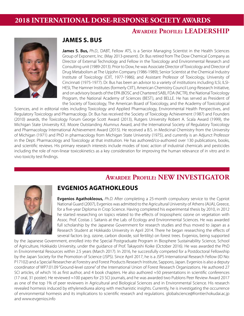### **2018 INTERNATIONAL DOSE-RESPONSE SOCIETY AWARDS**

### **Awardee Profile: leadership**



### **JAMES S. BUS**

**James S. Bus,** *Ph.D.,* DABT, Fellow ATS, is a Senior Managing Scientist in the Health Sciences Group of Exponent, Inc. (May 2013-present). Dr. Bus retired from The Dow Chemical Company as Director of External Technology and Fellow in the Toxicology and Environmental Research and Consulting unit (1989-2013). Prior to Dow, he was Associate Director of Toxicology and Director of Drug Metabolism at The Upjohn Company (1986-1989); Senior Scientist at the Chemical Industry Institute of Toxicology (CIIT, 1977-1986); and Assistant Professor of Toxicology, University of Cincinnati (1975-1977). Dr. Bus has been an advisor to a variety of institutions including ILSI, ILSI-HESI, The Hamner Institutes (formerly CIIT), American Chemistry Council Long-Research Initiative, and on advisory boards of the EPA (BOSC and Chartered SAB), FDA (NCTR), the National Toxicology Program, the National Academy of Sciences (BEST), and BELLE. He has served as President of the Society of Toxicology, The American Board of Toxicology, and the Academy of Toxicological

Sciences, and in editorial roles including Toxicology and Applied Pharmacology, Environmental Health Perspectives, and Regulatory Toxicology and Pharmacology. Dr. Bus has received the Society of Toxicology Achievement (1987) and Founders (2010) awards, the Toxicology Forum George Scott Award (2013), Rutgers University Robert A. Scala Award (1999), the Michigan State University K.E. Moore Outstanding Alumnus Award, and the International Society of Regulatory Toxicology and Pharmacology International Achievement Award (2015). He received a B.S. in Medicinal Chemistry from the University of Michigan (1971) and PhD in pharmacology from Michigan State University (1975), and currently is an Adjunct Professor in the Dept. Pharmacology and Toxicology at that institution. He has authored/co-authored over 130 publications, books, and scientific reviews. His primary research interests include modes of toxic action of industrial chemicals and pesticides including the role of non-linear toxicokinetics as a key consideration for improving the human relevance of in vitro and in vivo toxicity test findings.

### **Awardee Profile: New Investigator**



### **EVGENIOS AGATHOKLEOUS**

**Evgenios Agathokleous,** *Ph.D.* After completing a 25-month compulsory service to the Cypriot National Guard (2007), Evgenios was admitted to the Agricultural University of Athens (AUA), Greece, for a five-year Diploma in Crop Science. Having completed his experimental thesis by 2010, in 2012 he started researching on topics related to the effects of tropospheric ozone on vegetation with Assoc. Prof. Costas J. Saitanis at the Lab. of Ecology and Environmental Sciences. He was awarded full scholarship by the Japanese Government for research studies and thus moved to Japan as a Research Student at Hokkaido University in April 2014. There he began researching the effects of several factors (e.g. ozone, carbon dioxide, soil fertility) on forest trees. Evgenios, being supported

by the Japanese Government, enrolled into the Special Postgraduate Program in Biosphere Sustainability Science, School of Agriculture, Hokkaido University, under the guidance of Prof. Takayoshi Koike (October 2016). He was awarded the PhD in Environmental Resources within 2.5 years (March 2017). In 2016, he successfully competed for a Postdoctoral Fellowship by the Japan Society for the Promotion of Science (JSPS). Since April 2017, he is a JSPS International Research Fellow (ID No: P17102) and a Special Researcher at Forestry and Forest Products Research Institute, Sapporo, Japan. Evgenios is also a deputy coordinator of WP7.01.09 "Ground-level ozone" of the International Union of Forest Research Organizations. He authored 27 SCI articles, of which 16 as first author, and 4 book chapters. He also authored ≈50 presentations in scientific conferences (17 oral, 31 poster). He reviewed ≈100 papers for 23 SCI journals, and he was awarded two Publons Peer Review Award 2017 as one of the top 1% of peer reviewers in Agricultural and Biological Sciences and in Environmental Science. His research revealed hormesis induced by ethylenediurea along with mechanistic insights. Currently, he is investigating the occurrence of environmental hormesis and its implications to scientific research and regulations. globalscience@frontier.hokudai.ac.jp and www.evgenios.info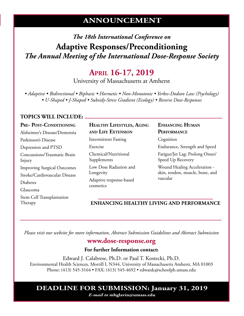### **Announcement**

### *The 18th International Conference on* **Adaptive Responses/Preconditioning** *The Annual Meeting of the International Dose-Response Society*

### **April 16-17, 2019**

University of Massachusetts at Amherst

*• Adaptive • Bidirectional • Biphasic • Hormetic • Non-Monotonic • Yerkes-Dodson Law (Psychology) • U-Shaped • J-Shaped • Subsidy-Stress Gradient (Ecology) • Reverse Dose-Responses*

#### **TOPICS WILL INCLUDE:**

#### PRE- POST-CONDITIONING

- Alzheimer's Disease/Dementia Parkinson's Disease Depression and PTSD Concussions/Traumatic Brain Injury Improving Surgical Outcomes Stroke/Cardiovascular Disease **Diabetes** Glaucoma Stem Cell Transplantation Therapy
- **Healthy Lifestyles, Aging and Life Extension** Intermittent Fasting Exercise Chemical/Nutritional Supplements Low Dose Radiation and Longevity Adaptive response-based cosmetics

### **Enhancing Human Performance**

**Cognition** 

- Endurance, Strength and Speed
- Fatigue/Jet Lag: Prolong Onset/ Speed Up Recovery Wound Healing Acceleration skin, tendon, muscle, bone, and vascular

#### **Enhancing Healthy Living and Performance**

*Please visit our website for more information, Abstract Submission Guidelines and Abstract Submission*

### **www.dose-response.org**

### **For further Information contact:**

Edward J. Calabrese, Ph.D. or Paul T. Kostecki, Ph.D. Environmental Health Sciences, Morrill I, N344, University of Massachusetts Amherst, MA 01003 Phone: (413) 545-3164 • FAX: (413) 545-4692 • edwardc@schoolph.umass.edu

### **deadline for submission: January 31, 2019**

*E-mail to* **mbglavin@umass.edu**